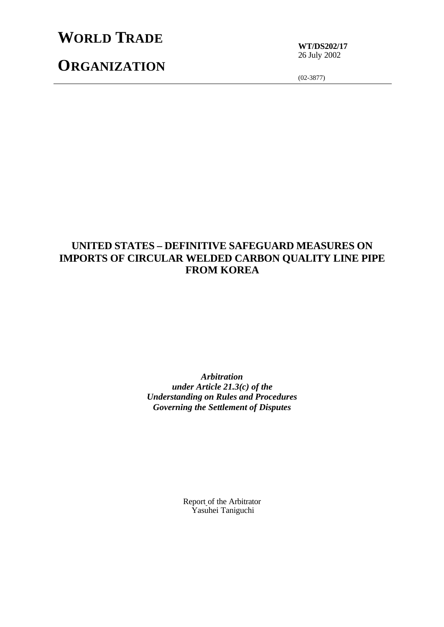## **WORLD TRADE**

**ORGANIZATION**

**WT/DS202/17** 26 July 2002

(02-3877)

## **UNITED STATES – DEFINITIVE SAFEGUARD MEASURES ON IMPORTS OF CIRCULAR WELDED CARBON QUALITY LINE PIPE FROM KOREA**

*Arbitration under Article 21.3(c) of the Understanding on Rules and Procedures Governing the Settlement of Disputes*

> Report of the Arbitrator Yasuhei Taniguchi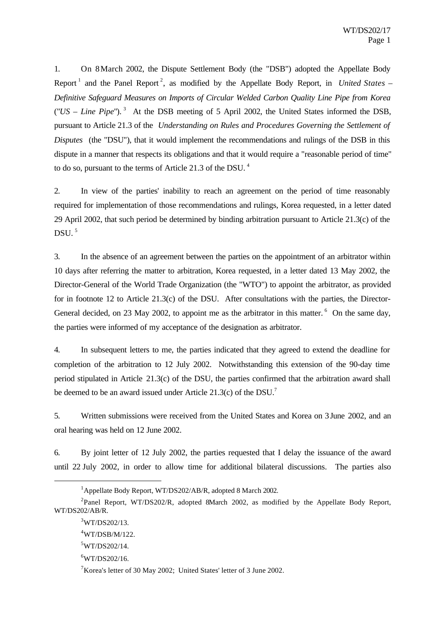1. On 8 March 2002, the Dispute Settlement Body (the "DSB") adopted the Appellate Body Report<sup>1</sup> and the Panel Report<sup>2</sup>, as modified by the Appellate Body Report, in *United States* – *Definitive Safeguard Measures on Imports of Circular Welded Carbon Quality Line Pipe from Korea* ("*US – Line Pipe*"). 3 At the DSB meeting of 5 April 2002, the United States informed the DSB, pursuant to Article 21.3 of the *Understanding on Rules and Procedures Governing the Settlement of Disputes* (the "DSU"), that it would implement the recommendations and rulings of the DSB in this dispute in a manner that respects its obligations and that it would require a "reasonable period of time" to do so, pursuant to the terms of Article 21.3 of the DSU. <sup>4</sup>

2. In view of the parties' inability to reach an agreement on the period of time reasonably required for implementation of those recommendations and rulings, Korea requested, in a letter dated 29 April 2002, that such period be determined by binding arbitration pursuant to Article 21.3(c) of the DSU $<sup>5</sup>$ </sup>

3. In the absence of an agreement between the parties on the appointment of an arbitrator within 10 days after referring the matter to arbitration, Korea requested, in a letter dated 13 May 2002, the Director-General of the World Trade Organization (the "WTO") to appoint the arbitrator, as provided for in footnote 12 to Article 21.3(c) of the DSU. After consultations with the parties, the Director-General decided, on 23 May 2002, to appoint me as the arbitrator in this matter.  $6\degree$  On the same day, the parties were informed of my acceptance of the designation as arbitrator.

4. In subsequent letters to me, the parties indicated that they agreed to extend the deadline for completion of the arbitration to 12 July 2002. Notwithstanding this extension of the 90-day time period stipulated in Article 21.3(c) of the DSU, the parties confirmed that the arbitration award shall be deemed to be an award issued under Article 21.3(c) of the DSU.<sup>7</sup>

5. Written submissions were received from the United States and Korea on 3 June 2002, and an oral hearing was held on 12 June 2002.

6. By joint letter of 12 July 2002, the parties requested that I delay the issuance of the award until 22 July 2002, in order to allow time for additional bilateral discussions. The parties also

l

<sup>1</sup>Appellate Body Report, WT/DS202/AB/R, adopted 8 March 2002.

<sup>&</sup>lt;sup>2</sup>Panel Report, WT/DS202/R, adopted 8March 2002, as modified by the Appellate Body Report, WT/DS202/AB/R.

 $3WT/DS202/13$ .

<sup>4</sup>WT/DSB/M/122.

 $5$ WT/DS202/14.

 $6$ WT/DS202/16.

<sup>7</sup>Korea's letter of 30 May 2002; United States' letter of 3 June 2002.